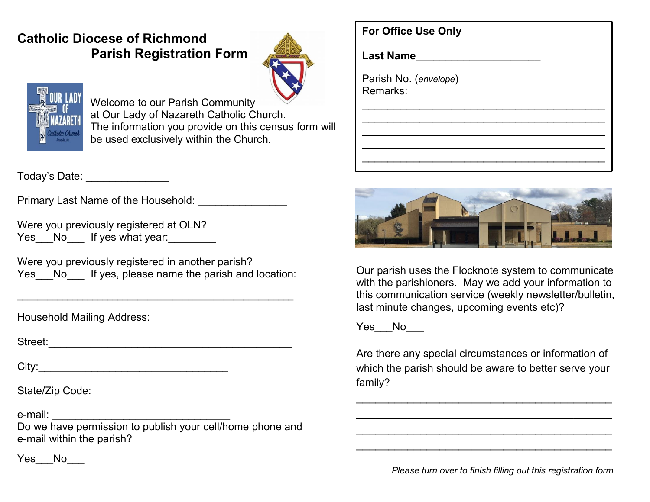## **Catholic Diocese of Richmond Parish Registration Form**





Welcome to our Parish Community at Our Lady of Nazareth Catholic Church. The information you provide on this census form will be used exclusively within the Church.

Today's Date:

Primary Last Name of the Household: \_\_\_\_\_\_\_\_\_\_\_\_\_\_\_

Were you previously registered at OLN? Yes No If yes what year:

Were you previously registered in another parish? Yes No If yes, please name the parish and location:

\_\_\_\_\_\_\_\_\_\_\_\_\_\_\_\_\_\_\_\_\_\_\_\_\_\_\_\_\_\_\_\_\_\_\_\_\_\_\_\_\_\_\_\_\_\_\_\_\_\_\_\_\_\_\_

Household Mailing Address:

Street:

City:

State/Zip Code:

e-mail: \_\_\_\_\_\_\_\_\_\_\_\_\_\_\_\_\_\_\_\_\_\_\_\_\_\_\_\_\_\_

Do we have permission to publish your cell/home phone and e-mail within the parish?

| <b>For Office Use Only</b>            |  |
|---------------------------------------|--|
| <b>Last Name</b>                      |  |
| Parish No. (envelope) ___<br>Remarks: |  |
|                                       |  |
|                                       |  |



Our parish uses the Flocknote system to communicate with the parishioners. May we add your information to this communication service (weekly newsletter/bulletin, last minute changes, upcoming events etc)?

Yes\_\_\_No\_\_\_\_

Are there any special circumstances or information of which the parish should be aware to better serve your family?

 $\overline{\phantom{a}}$  , and the contract of the contract of the contract of the contract of the contract of the contract of the contract of the contract of the contract of the contract of the contract of the contract of the contrac  $\overline{\phantom{a}}$  , and the set of the set of the set of the set of the set of the set of the set of the set of the set of the set of the set of the set of the set of the set of the set of the set of the set of the set of the s  $\overline{\phantom{a}}$  , and the set of the set of the set of the set of the set of the set of the set of the set of the set of the set of the set of the set of the set of the set of the set of the set of the set of the set of the s  $\overline{\phantom{a}}$  , and the contract of the contract of the contract of the contract of the contract of the contract of the contract of the contract of the contract of the contract of the contract of the contract of the contrac

 *Please turn over to finish filling out this registration form*

Yes\_\_\_No\_\_\_\_